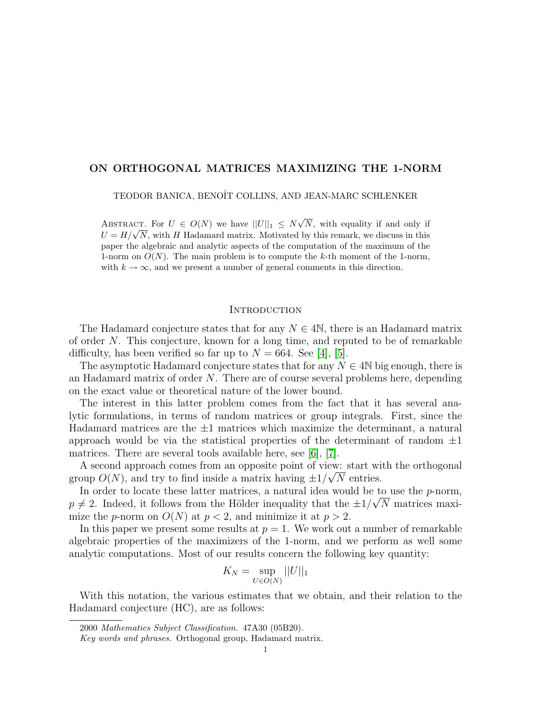# ON ORTHOGONAL MATRICES MAXIMIZING THE 1-NORM

TEODOR BANICA, BENOÎT COLLINS, AND JEAN-MARC SCHLENKER

ABSTRACT. For  $U \in O(N)$  we have  $||U||_1 \leq N\sqrt{ }$ N, with equality if and only if ABSTRACT. For  $U \in \mathcal{O}(N)$  we have  $||U||_1 \leq N\sqrt{N}$ , with equality if and only if  $U = H/\sqrt{N}$ , with H Hadamard matrix. Motivated by this remark, we discuss in this paper the algebraic and analytic aspects of the computation of the maximum of the 1-norm on  $O(N)$ . The main problem is to compute the k-th moment of the 1-norm, with  $k \to \infty$ , and we present a number of general comments in this direction.

## **INTRODUCTION**

The Hadamard conjecture states that for any  $N \in 4\mathbb{N}$ , there is an Hadamard matrix of order N. This conjecture, known for a long time, and reputed to be of remarkable difficulty, has been verified so far up to  $N = 664$ . See [\[4\]](#page-16-0), [\[5\]](#page-16-1).

The asymptotic Hadamard conjecture states that for any  $N \in 4N$  big enough, there is an Hadamard matrix of order N. There are of course several problems here, depending on the exact value or theoretical nature of the lower bound.

The interest in this latter problem comes from the fact that it has several analytic formulations, in terms of random matrices or group integrals. First, since the Hadamard matrices are the  $\pm 1$  matrices which maximize the determinant, a natural approach would be via the statistical properties of the determinant of random  $\pm 1$ matrices. There are several tools available here, see [\[6\]](#page-16-2), [\[7\]](#page-16-3).

A second approach comes from an opposite point of view: start with the orthogonal group  $O(N)$ , and try to find inside a matrix having  $\pm 1/\sqrt{N}$  entries.

In order to locate these latter matrices, a natural idea would be to use the p-norm,  $p \neq 2$ . Indeed, it follows from the Hölder inequality that the  $\pm 1/\sqrt{N}$  matrices maximize the *p*-norm on  $O(N)$  at  $p < 2$ , and minimize it at  $p > 2$ .

In this paper we present some results at  $p = 1$ . We work out a number of remarkable algebraic properties of the maximizers of the 1-norm, and we perform as well some analytic computations. Most of our results concern the following key quantity:

$$
K_N = \sup_{U \in O(N)} ||U||_1
$$

With this notation, the various estimates that we obtain, and their relation to the Hadamard conjecture (HC), are as follows:

<sup>2000</sup> Mathematics Subject Classification. 47A30 (05B20).

Key words and phrases. Orthogonal group, Hadamard matrix.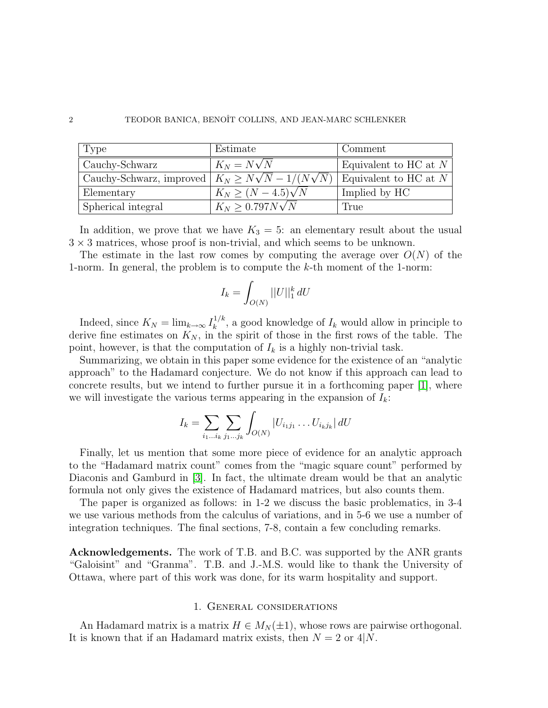| 'Type                                                           | Estimate                  | Comment                 |
|-----------------------------------------------------------------|---------------------------|-------------------------|
| Cauchy-Schwarz                                                  | $K_N = N\sqrt{N}$         | Equivalent to HC at $N$ |
| Cauchy-Schwarz, improved $  K_N \geq N\sqrt{N} - 1/(N\sqrt{N})$ |                           | Equivalent to HC at $N$ |
| Elementary                                                      | $K_N \ge (N-4.5)\sqrt{N}$ | Implied by HC           |
| Spherical integral                                              | $K_N > 0.797 N \sqrt{N}$  | True                    |

In addition, we prove that we have  $K_3 = 5$ : an elementary result about the usual  $3 \times 3$  matrices, whose proof is non-trivial, and which seems to be unknown.

The estimate in the last row comes by computing the average over  $O(N)$  of the 1-norm. In general, the problem is to compute the  $k$ -th moment of the 1-norm:

$$
I_k = \int_{O(N)} ||U||_1^k dU
$$

Indeed, since  $K_N = \lim_{k \to \infty} I_k^{1/k}$  $\mathbf{k}^{1/k}$ , a good knowledge of  $I_k$  would allow in principle to derive fine estimates on  $K_N$ , in the spirit of those in the first rows of the table. The point, however, is that the computation of  $I_k$  is a highly non-trivial task.

Summarizing, we obtain in this paper some evidence for the existence of an "analytic approach" to the Hadamard conjecture. We do not know if this approach can lead to concrete results, but we intend to further pursue it in a forthcoming paper [\[1\]](#page-16-4), where we will investigate the various terms appearing in the expansion of  $I_k$ :

$$
I_k = \sum_{i_1...i_k} \sum_{j_1...j_k} \int_{O(N)} |U_{i_1j_1} \dots U_{i_kj_k}| dU
$$

Finally, let us mention that some more piece of evidence for an analytic approach to the "Hadamard matrix count" comes from the "magic square count" performed by Diaconis and Gamburd in [\[3\]](#page-16-5). In fact, the ultimate dream would be that an analytic formula not only gives the existence of Hadamard matrices, but also counts them.

The paper is organized as follows: in 1-2 we discuss the basic problematics, in 3-4 we use various methods from the calculus of variations, and in 5-6 we use a number of integration techniques. The final sections, 7-8, contain a few concluding remarks.

Acknowledgements. The work of T.B. and B.C. was supported by the ANR grants "Galoisint" and "Granma". T.B. and J.-M.S. would like to thank the University of Ottawa, where part of this work was done, for its warm hospitality and support.

## 1. General considerations

An Hadamard matrix is a matrix  $H \in M_N(\pm 1)$ , whose rows are pairwise orthogonal. It is known that if an Hadamard matrix exists, then  $N = 2$  or  $4|N$ .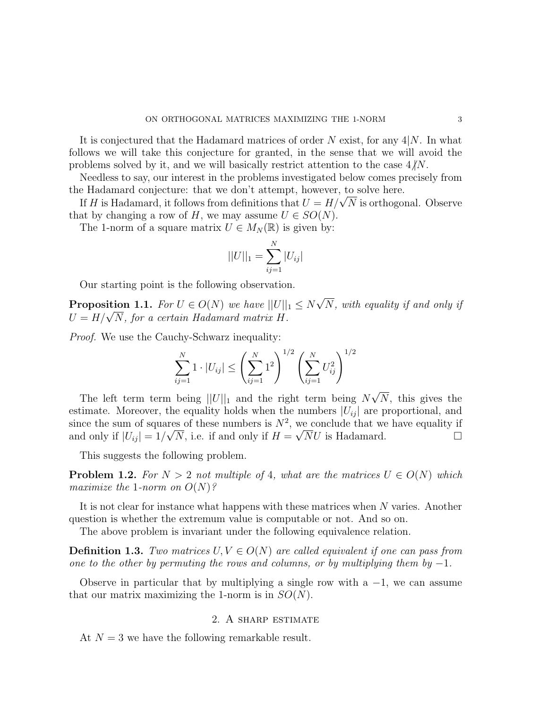It is conjectured that the Hadamard matrices of order  $N$  exist, for any  $4|N$ . In what follows we will take this conjecture for granted, in the sense that we will avoid the problems solved by it, and we will basically restrict attention to the case  $4/N$ .

Needless to say, our interest in the problems investigated below comes precisely from the Hadamard conjecture: that we don't attempt, however, to solve here.

e Hadamard conjecture: that we don't attempt, nowever, to solve nere.<br>If H is Hadamard, it follows from definitions that  $U = H/\sqrt{N}$  is orthogonal. Observe that by changing a row of H, we may assume  $U \in SO(N)$ .

The 1-norm of a square matrix  $U \in M_N(\mathbb{R})$  is given by:

$$
||U||_1 = \sum_{ij=1}^{N} |U_{ij}|
$$

Our starting point is the following observation.

**Proposition 1.1.** For  $U \in O(N)$  we have  $||U||_1 \leq N$ √ N, with equality if and only if **Proposition 1.1.** For  $U \in U(N)$  we have  $||U||$ <br> $U = H/\sqrt{N}$ , for a certain Hadamard matrix H.

Proof. We use the Cauchy-Schwarz inequality:

$$
\sum_{ij=1}^{N} 1 \cdot |U_{ij}| \le \left(\sum_{ij=1}^{N} 1^2\right)^{1/2} \left(\sum_{ij=1}^{N} U_{ij}^2\right)^{1/2}
$$

The left term term being  $||U||_1$  and the right term being N √ N, this gives the estimate. Moreover, the equality holds when the numbers  $|U_{ij}|$  are proportional, and since the sum of squares of these numbers is  $N^2$ , we conclude that we have equality if and only if  $|U_{ij}| = 1/\sqrt{N}$ , i.e. if and only if  $H = \sqrt{N}U$  is Hadamard.

This suggests the following problem.

**Problem 1.2.** For  $N > 2$  not multiple of 4, what are the matrices  $U \in O(N)$  which maximize the 1-norm on  $O(N)$ ?

It is not clear for instance what happens with these matrices when N varies. Another question is whether the extremum value is computable or not. And so on.

The above problem is invariant under the following equivalence relation.

**Definition 1.3.** Two matrices  $U, V \in O(N)$  are called equivalent if one can pass from one to the other by permuting the rows and columns, or by multiplying them by  $-1$ .

Observe in particular that by multiplying a single row with a  $-1$ , we can assume that our matrix maximizing the 1-norm is in  $SO(N)$ .

# 2. A sharp estimate

At  $N = 3$  we have the following remarkable result.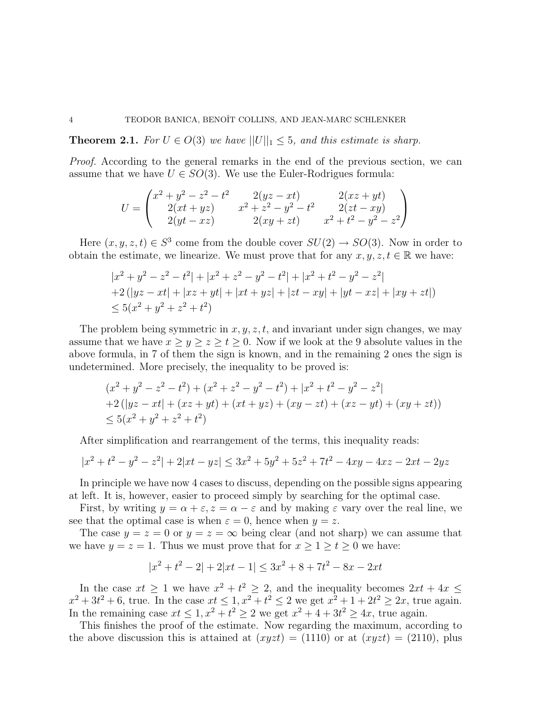**Theorem 2.1.** For  $U \in O(3)$  we have  $||U||_1 \leq 5$ , and this estimate is sharp.

Proof. According to the general remarks in the end of the previous section, we can assume that we have  $U \in SO(3)$ . We use the Euler-Rodrigues formula:

$$
U = \begin{pmatrix} x^2 + y^2 - z^2 - t^2 & 2(yz - xt) & 2(xz + yt) \\ 2(xt + yz) & x^2 + z^2 - y^2 - t^2 & 2(zt - xy) \\ 2(yt - xz) & 2(xy + zt) & x^2 + t^2 - y^2 - z^2 \end{pmatrix}
$$

Here  $(x, y, z, t) \in S^3$  come from the double cover  $SU(2) \rightarrow SO(3)$ . Now in order to obtain the estimate, we linearize. We must prove that for any  $x, y, z, t \in \mathbb{R}$  we have:

$$
|x^{2} + y^{2} - z^{2} - t^{2}| + |x^{2} + z^{2} - y^{2} - t^{2}| + |x^{2} + t^{2} - y^{2} - z^{2}|
$$
  
+2(|yz - xt| + |xz + yt| + |xt + yz| + |zt - xy| + |yt - xz| + |xy + zt|)  

$$
\leq 5(x^{2} + y^{2} + z^{2} + t^{2})
$$

The problem being symmetric in  $x, y, z, t$ , and invariant under sign changes, we may assume that we have  $x \ge y \ge z \ge t \ge 0$ . Now if we look at the 9 absolute values in the above formula, in 7 of them the sign is known, and in the remaining 2 ones the sign is undetermined. More precisely, the inequality to be proved is:

$$
(x^{2} + y^{2} - z^{2} - t^{2}) + (x^{2} + z^{2} - y^{2} - t^{2}) + |x^{2} + t^{2} - y^{2} - z^{2}|
$$
  
+2(|yz - xt| + (xz + yt) + (xt + yz) + (xy - zt) + (xz - yt) + (xy + zt))  

$$
\leq 5(x^{2} + y^{2} + z^{2} + t^{2})
$$

After simplification and rearrangement of the terms, this inequality reads:

$$
|x^{2} + t^{2} - y^{2} - z^{2}| + 2|xt - yz| \le 3x^{2} + 5y^{2} + 5z^{2} + 7t^{2} - 4xy - 4xz - 2xt - 2yz
$$

In principle we have now 4 cases to discuss, depending on the possible signs appearing at left. It is, however, easier to proceed simply by searching for the optimal case.

First, by writing  $y = \alpha + \varepsilon$ ,  $z = \alpha - \varepsilon$  and by making  $\varepsilon$  vary over the real line, we see that the optimal case is when  $\varepsilon = 0$ , hence when  $y = z$ .

The case  $y = z = 0$  or  $y = z = \infty$  being clear (and not sharp) we can assume that we have  $y = z = 1$ . Thus we must prove that for  $x \ge 1 \ge t \ge 0$  we have:

$$
|x^2 + t^2 - 2| + 2|xt - 1| \le 3x^2 + 8 + 7t^2 - 8x - 2xt
$$

In the case  $xt \geq 1$  we have  $x^2 + t^2 \geq 2$ , and the inequality becomes  $2xt + 4x \leq$  $x^2 + 3t^2 + 6$ , true. In the case  $xt \le 1, x^2 + t^2 \le 2$  we get  $x^2 + 1 + 2t^2 \ge 2x$ , true again. In the remaining case  $xt \leq 1, x^2 + t^2 \geq 2$  we get  $x^2 + 4 + 3t^2 \geq 4x$ , true again.

This finishes the proof of the estimate. Now regarding the maximum, according to the above discussion this is attained at  $(xyzt) = (1110)$  or at  $(xyzt) = (2110)$ , plus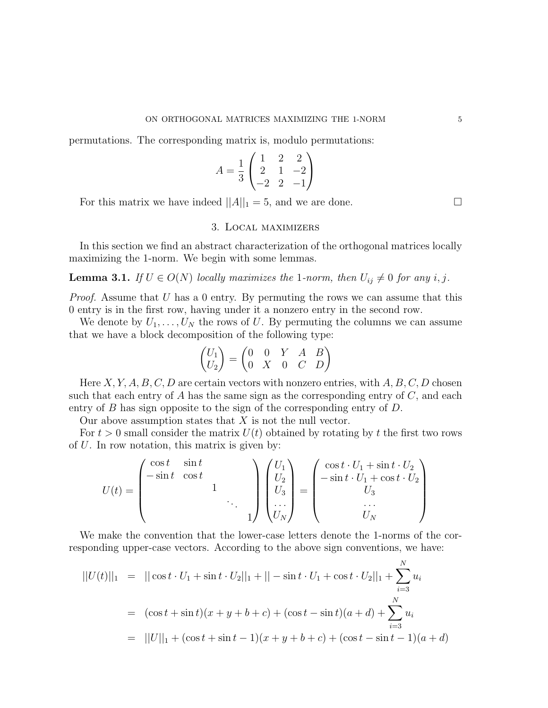permutations. The corresponding matrix is, modulo permutations:

$$
A = \frac{1}{3} \begin{pmatrix} 1 & 2 & 2 \\ 2 & 1 & -2 \\ -2 & 2 & -1 \end{pmatrix}
$$

For this matrix we have indeed  $||A||_1 = 5$ , and we are done.

# 3. Local maximizers

In this section we find an abstract characterization of the orthogonal matrices locally maximizing the 1-norm. We begin with some lemmas.

**Lemma 3.1.** If  $U \in O(N)$  locally maximizes the 1-norm, then  $U_{ij} \neq 0$  for any i, j.

*Proof.* Assume that  $U$  has a 0 entry. By permuting the rows we can assume that this 0 entry is in the first row, having under it a nonzero entry in the second row.

We denote by  $U_1, \ldots, U_N$  the rows of U. By permuting the columns we can assume that we have a block decomposition of the following type:

$$
\begin{pmatrix} U_1 \\ U_2 \end{pmatrix} = \begin{pmatrix} 0 & 0 & Y & A & B \\ 0 & X & 0 & C & D \end{pmatrix}
$$

Here  $X, Y, A, B, C, D$  are certain vectors with nonzero entries, with  $A, B, C, D$  chosen such that each entry of  $A$  has the same sign as the corresponding entry of  $C$ , and each entry of B has sign opposite to the sign of the corresponding entry of D.

Our above assumption states that  $X$  is not the null vector.

For  $t > 0$  small consider the matrix  $U(t)$  obtained by rotating by t the first two rows of  $U$ . In row notation, this matrix is given by:

$$
U(t)=\begin{pmatrix} \cos t & \sin t & & \\ -\sin t & \cos t & & \\ & & 1 & \\ & & & \ddots \\ & & & & 1 \end{pmatrix} \begin{pmatrix} U_1 \\ U_2 \\ U_3 \\ \cdots \\ U_N \end{pmatrix}=\begin{pmatrix} \cos t \cdot U_1+\sin t \cdot U_2 \\ -\sin t \cdot U_1+\cos t \cdot U_2 \\ U_3 \\ \cdots \\ U_N \end{pmatrix}
$$

We make the convention that the lower-case letters denote the 1-norms of the corresponding upper-case vectors. According to the above sign conventions, we have:

$$
||U(t)||_1 = ||\cos t \cdot U_1 + \sin t \cdot U_2||_1 + || - \sin t \cdot U_1 + \cos t \cdot U_2||_1 + \sum_{i=3}^{N} u_i
$$
  
= 
$$
(\cos t + \sin t)(x + y + b + c) + (\cos t - \sin t)(a + d) + \sum_{i=3}^{N} u_i
$$
  
= 
$$
||U||_1 + (\cos t + \sin t - 1)(x + y + b + c) + (\cos t - \sin t - 1)(a + d)
$$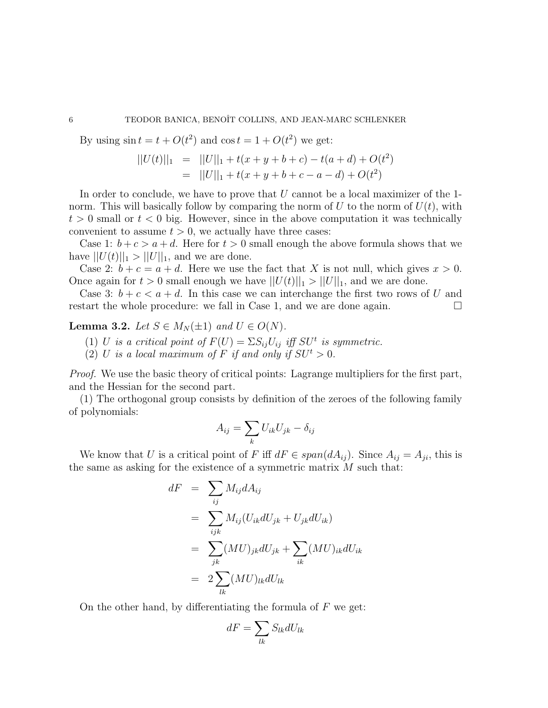By using  $\sin t = t + O(t^2)$  and  $\cos t = 1 + O(t^2)$  we get:

$$
||U(t)||_1 = ||U||_1 + t(x + y + b + c) - t(a + d) + O(t^2)
$$
  
= 
$$
||U||_1 + t(x + y + b + c - a - d) + O(t^2)
$$

In order to conclude, we have to prove that  $U$  cannot be a local maximizer of the 1norm. This will basically follow by comparing the norm of U to the norm of  $U(t)$ , with  $t > 0$  small or  $t < 0$  big. However, since in the above computation it was technically convenient to assume  $t > 0$ , we actually have three cases:

Case 1:  $b + c > a + d$ . Here for  $t > 0$  small enough the above formula shows that we have  $||U(t)||_1 > ||U||_1$ , and we are done.

Case 2:  $b + c = a + d$ . Here we use the fact that X is not null, which gives  $x > 0$ . Once again for  $t > 0$  small enough we have  $||U(t)||_1 > ||U||_1$ , and we are done.

Case 3:  $b + c < a + d$ . In this case we can interchange the first two rows of U and restart the whole procedure: we fall in Case 1, and we are done again.  $\Box$ 

**Lemma 3.2.** Let  $S \in M_N(\pm 1)$  and  $U \in O(N)$ .

- (1) U is a critical point of  $F(U) = \sum S_{ij} U_{ij}$  iff  $SU<sup>t</sup>$  is symmetric.
- (2) U is a local maximum of F if and only if  $SU^t > 0$ .

Proof. We use the basic theory of critical points: Lagrange multipliers for the first part, and the Hessian for the second part.

(1) The orthogonal group consists by definition of the zeroes of the following family of polynomials:

$$
A_{ij} = \sum_{k} U_{ik} U_{jk} - \delta_{ij}
$$

We know that U is a critical point of F iff  $dF \in span(dA_{ij})$ . Since  $A_{ij} = A_{ji}$ , this is the same as asking for the existence of a symmetric matrix  $M$  such that:

$$
dF = \sum_{ij} M_{ij} dA_{ij}
$$
  
= 
$$
\sum_{ijk} M_{ij} (U_{ik} dU_{jk} + U_{jk} dU_{ik})
$$
  
= 
$$
\sum_{jk} (MU)_{jk} dU_{jk} + \sum_{ik} (MU)_{ik} dU_{ik}
$$
  
= 
$$
2 \sum_{lk} (MU)_{lk} dU_{lk}
$$

On the other hand, by differentiating the formula of  $F$  we get:

$$
dF = \sum_{lk} S_{lk} dU_{lk}
$$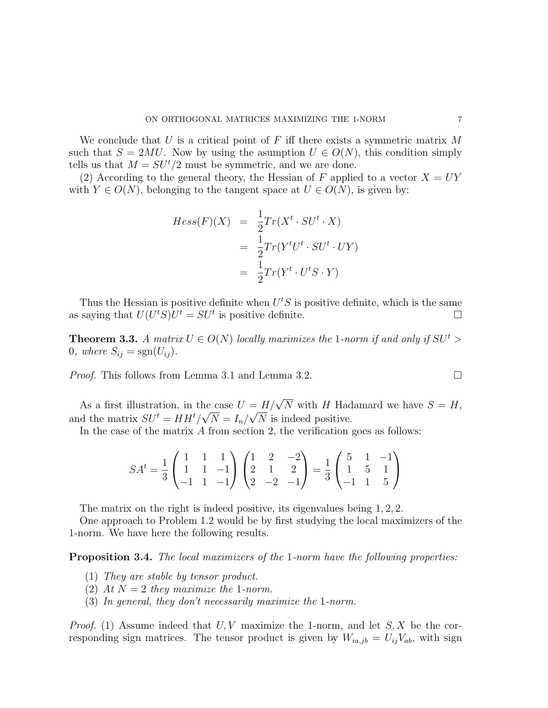We conclude that U is a critical point of F iff there exists a symmetric matrix  $M$ such that  $S = 2MU$ . Now by using the asumption  $U \in O(N)$ , this condition simply tells us that  $M = SU^t/2$  must be symmetric, and we are done.

(2) According to the general theory, the Hessian of F applied to a vector  $X = UY$ with  $Y \in O(N)$ , belonging to the tangent space at  $U \in O(N)$ , is given by:

$$
Hess(F)(X) = \frac{1}{2}Tr(X^t \cdot SU^t \cdot X)
$$
  
= 
$$
\frac{1}{2}Tr(Y^tU^t \cdot SU^t \cdot UV)
$$
  
= 
$$
\frac{1}{2}Tr(Y^t \cdot U^t S \cdot Y)
$$

Thus the Hessian is positive definite when  $U<sup>t</sup>S$  is positive definite, which is the same as saying that  $U(U^tS)U^t = SU^t$  is positive definite.

**Theorem 3.3.** A matrix  $U \in O(N)$  locally maximizes the 1-norm if and only if  $SU^t >$ 0, where  $S_{ij} = sgn(U_{ij})$ .

*Proof.* This follows from Lemma 3.1 and Lemma 3.2.

As a first illustration, in the case  $U = H/\sqrt{N}$  with H Hadamard we have  $S = H$ , and the matrix  $SU^t = HH^t/\sqrt{N} = I_n/\sqrt{N}$  is indeed positive.

In the case of the matrix  $A$  from section 2, the verification goes as follows:

$$
SA^{t} = \frac{1}{3} \begin{pmatrix} 1 & 1 & 1 \\ 1 & 1 & -1 \\ -1 & 1 & -1 \end{pmatrix} \begin{pmatrix} 1 & 2 & -2 \\ 2 & 1 & 2 \\ 2 & -2 & -1 \end{pmatrix} = \frac{1}{3} \begin{pmatrix} 5 & 1 & -1 \\ 1 & 5 & 1 \\ -1 & 1 & 5 \end{pmatrix}
$$

The matrix on the right is indeed positive, its eigenvalues being 1, 2, 2.

One approach to Problem 1.2 would be by first studying the local maximizers of the 1-norm. We have here the following results.

Proposition 3.4. The local maximizers of the 1-norm have the following properties:

- (1) They are stable by tensor product.
- (2) At  $N=2$  they maximize the 1-norm.
- (3) In general, they don't necessarily maximize the 1-norm.

*Proof.* (1) Assume indeed that  $U, V$  maximize the 1-norm, and let  $S, X$  be the corresponding sign matrices. The tensor product is given by  $W_{ia,jb} = U_{ij}V_{ab}$ , with sign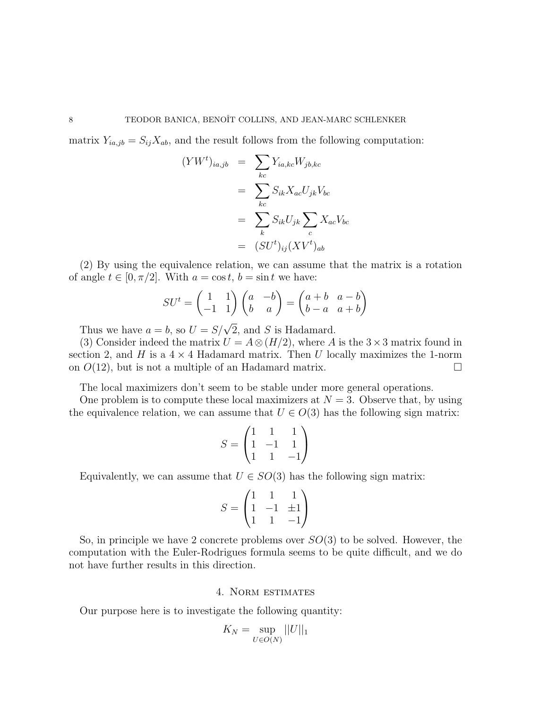matrix  $Y_{ia,jb} = S_{ij}X_{ab}$ , and the result follows from the following computation:

$$
(YWt)ia,jb = \sum_{kc} Y_{ia,kc} Wjb,kc
$$
  
= 
$$
\sum_{kc} S_{ik} X_{ac} U_{jk} V_{bc}
$$
  
= 
$$
\sum_{k} S_{ik} U_{jk} \sum_{c} X_{ac} V_{bc}
$$
  
= 
$$
(SUt)ij (XVt)ab
$$

(2) By using the equivalence relation, we can assume that the matrix is a rotation of angle  $t \in [0, \pi/2]$ . With  $a = \cos t$ ,  $b = \sin t$  we have:

$$
SU^t = \begin{pmatrix} 1 & 1 \\ -1 & 1 \end{pmatrix} \begin{pmatrix} a & -b \\ b & a \end{pmatrix} = \begin{pmatrix} a+b & a-b \\ b-a & a+b \end{pmatrix}
$$

Thus we have  $a = b$ , so  $U = S/\sqrt{2}$ , and S is Hadamard.

(3) Consider indeed the matrix  $U = A \otimes (H/2)$ , where A is the 3 × 3 matrix found in section 2, and H is a  $4 \times 4$  Hadamard matrix. Then U locally maximizes the 1-norm on  $O(12)$ , but is not a multiple of an Hadamard matrix.

The local maximizers don't seem to be stable under more general operations.

One problem is to compute these local maximizers at  $N = 3$ . Observe that, by using the equivalence relation, we can assume that  $U \in O(3)$  has the following sign matrix:

$$
S = \begin{pmatrix} 1 & 1 & 1 \\ 1 & -1 & 1 \\ 1 & 1 & -1 \end{pmatrix}
$$

Equivalently, we can assume that  $U \in SO(3)$  has the following sign matrix:

$$
S = \begin{pmatrix} 1 & 1 & 1 \\ 1 & -1 & \pm 1 \\ 1 & 1 & -1 \end{pmatrix}
$$

So, in principle we have 2 concrete problems over  $SO(3)$  to be solved. However, the computation with the Euler-Rodrigues formula seems to be quite difficult, and we do not have further results in this direction.

## 4. Norm estimates

Our purpose here is to investigate the following quantity:

$$
K_N = \sup_{U \in O(N)} ||U||_1
$$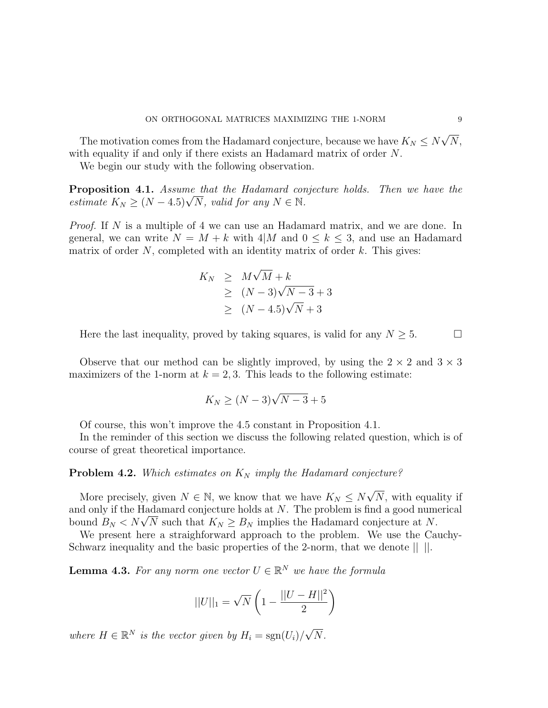The motivation comes from the Hadamard conjecture, because we have  $K_N \leq N$ √  $N,$ with equality if and only if there exists an Hadamard matrix of order N.

We begin our study with the following observation.

**Proposition 4.1.** Assume that the Hadamard conjecture holds. Then we have the **Proposition 4.1.** Assume that the Hadamara con<br>estimate  $K_N \ge (N-4.5)\sqrt{N}$ , valid for any  $N \in \mathbb{N}$ .

Proof. If N is a multiple of 4 we can use an Hadamard matrix, and we are done. In general, we can write  $N = M + k$  with 4|M and  $0 \leq k \leq 3$ , and use an Hadamard matrix of order  $N$ , completed with an identity matrix of order  $k$ . This gives:

$$
K_N \geq M\sqrt{M} + k
$$
  
\n
$$
\geq (N-3)\sqrt{N-3} + 3
$$
  
\n
$$
\geq (N-4.5)\sqrt{N} + 3
$$

Here the last inequality, proved by taking squares, is valid for any  $N \geq 5$ .

Observe that our method can be slightly improved, by using the  $2 \times 2$  and  $3 \times 3$ maximizers of the 1-norm at  $k = 2,3$ . This leads to the following estimate:

$$
K_N \ge (N-3)\sqrt{N-3} + 5
$$

Of course, this won't improve the 4.5 constant in Proposition 4.1.

In the reminder of this section we discuss the following related question, which is of course of great theoretical importance.

# **Problem 4.2.** Which estimates on  $K_N$  imply the Hadamard conjecture?

More precisely, given  $N \in \mathbb{N}$ , we know that we have  $K_N \leq N \sqrt{N}$ N, with equality if and only if the Hadamard conjecture holds at N. The problem is find a good numerical and only if the Hadamard conjecture holds at N. The problem is find a good num<br>bound  $B_N < N\sqrt{N}$  such that  $K_N \geq B_N$  implies the Hadamard conjecture at N.

We present here a straighforward approach to the problem. We use the Cauchy-Schwarz inequality and the basic properties of the 2-norm, that we denote || ||.

**Lemma 4.3.** For any norm one vector  $U \in \mathbb{R}^N$  we have the formula

$$
||U||_1 = \sqrt{N} \left( 1 - \frac{||U - H||^2}{2} \right)
$$

where  $H \in \mathbb{R}^N$  is the vector given by  $H_i = \text{sgn}(U_i)$ √  $N$ .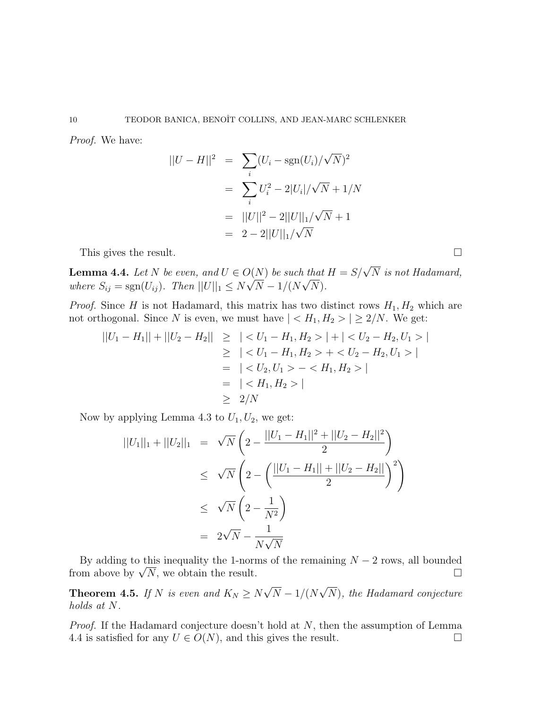Proof. We have:

$$
||U - H||2 = \sum_{i} (U_i - \text{sgn}(U_i) / \sqrt{N})^2
$$
  
= 
$$
\sum_{i} U_i^2 - 2|U_i| / \sqrt{N} + 1/N
$$
  
= 
$$
||U||^2 - 2||U||_1 / \sqrt{N} + 1
$$
  
= 
$$
2 - 2||U||_1 / \sqrt{N}
$$

This gives the result.

**Lemma 4.4.** Let N be even, and  $U \in O(N)$  be such that  $H = S/\sqrt{N}$  is not Hadamard, where  $S_{ij} = \text{sgn}(U_{ij})$ . Then  $||U||_1 \leq N$ √  $N - 1/(N)$  $\iota$ <sub>∪</sub>  $N).$ 

*Proof.* Since H is not Hadamard, this matrix has two distinct rows  $H_1, H_2$  which are not orthogonal. Since N is even, we must have  $| < H_1, H_2 > | \geq 2/N$ . We get:

$$
||U_1 - H_1|| + ||U_2 - H_2|| \geq | < U_1 - H_1, H_2 > | + | < U_2 - H_2, U_1 > |
$$
\n
$$
\geq | < U_1 - H_1, H_2 > + < U_2 - H_2, U_1 > |
$$
\n
$$
= | < U_2, U_1 > - < H_1, H_2 > |
$$
\n
$$
= | < H_1, H_2 > |
$$
\n
$$
\geq 2/N
$$

Now by applying Lemma 4.3 to  $U_1, U_2$ , we get:

$$
||U_1||_1 + ||U_2||_1 = \sqrt{N} \left( 2 - \frac{||U_1 - H_1||^2 + ||U_2 - H_2||^2}{2} \right)
$$
  
\n
$$
\leq \sqrt{N} \left( 2 - \left( \frac{||U_1 - H_1|| + ||U_2 - H_2||}{2} \right)^2 \right)
$$
  
\n
$$
\leq \sqrt{N} \left( 2 - \frac{1}{N^2} \right)
$$
  
\n
$$
= 2\sqrt{N} - \frac{1}{N\sqrt{N}}
$$

By adding to this inequality the 1-norms of the remaining  $N-2$  rows, all bounded By adding to this inequality the 1-norms of the remaining  $N - 2$  rows, all bounded<br>from above by  $\sqrt{N}$ , we obtain the result.

**Theorem 4.5.** If N is even and  $K_N \geq N$ √  $N-1/(N$ √ N), the Hadamard conjecture holds at N.

*Proof.* If the Hadamard conjecture doesn't hold at  $N$ , then the assumption of Lemma 4.4 is satisfied for any  $U \in O(N)$ , and this gives the result.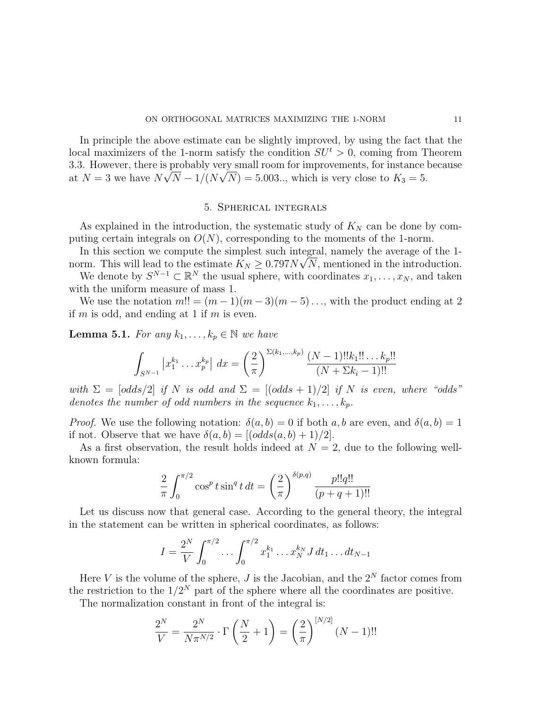In principle the above estimate can be slightly improved, by using the fact that the local maximizers of the 1-norm satisfy the condition  $SU<sup>t</sup> > 0$ , coming from Theorem 3.3. However, there is probably very small room for improvements, for instance because at  $N = 3$  we have  $N\sqrt{N-1/(N\sqrt{N})} = 5.003...$ , which is very close to  $K_3 = 5$ .

## 5. Spherical integrals

As explained in the introduction, the systematic study of  $K_N$  can be done by computing certain integrals on  $O(N)$ , corresponding to the moments of the 1-norm.

In this section we compute the simplest such integral, namely the average of the 1norm. This will lead to the estimate  $K_N \geq 0.797N\sqrt{N}$ , mentioned in the introduction.

We denote by  $S^{N-1} \subset \mathbb{R}^N$  the usual sphere, with coordinates  $x_1, \ldots, x_N$ , and taken with the uniform measure of mass 1.

We use the notation  $m!! = (m-1)(m-3)(m-5)...$ , with the product ending at 2 if  $m$  is odd, and ending at 1 if  $m$  is even.

**Lemma 5.1.** For any  $k_1, \ldots, k_p \in \mathbb{N}$  we have

$$
\int_{S^{N-1}} \left| x_1^{k_1} \dots x_p^{k_p} \right| \, dx = \left( \frac{2}{\pi} \right)^{\Sigma(k_1, \dots, k_p)} \frac{(N-1)! |k_1|! \dots k_p!}{(N + \Sigma k_i - 1)!}
$$

with  $\Sigma = [odds/2]$  if N is odd and  $\Sigma = [(odds + 1)/2]$  if N is even, where "odds" denotes the number of odd numbers in the sequence  $k_1, \ldots, k_p$ .

*Proof.* We use the following notation:  $\delta(a, b) = 0$  if both a, b are even, and  $\delta(a, b) = 1$ if not. Observe that we have  $\delta(a, b) = [(\text{odds}(a, b) + 1)/2].$ 

As a first observation, the result holds indeed at  $N = 2$ , due to the following wellknown formula:

$$
\frac{2}{\pi} \int_0^{\pi/2} \cos^p t \sin^q t \, dt = \left(\frac{2}{\pi}\right)^{\delta(p,q)} \frac{p!!q!!}{(p+q+1)!!}
$$

Let us discuss now that general case. According to the general theory, the integral in the statement can be written in spherical coordinates, as follows:

$$
I = \frac{2^N}{V} \int_0^{\pi/2} \dots \int_0^{\pi/2} x_1^{k_1} \dots x_N^{k_N} J \, dt_1 \dots dt_{N-1}
$$

Here V is the volume of the sphere,  $J$  is the Jacobian, and the  $2^N$  factor comes from the restriction to the  $1/2^N$  part of the sphere where all the coordinates are positive.

The normalization constant in front of the integral is:

$$
\frac{2^{N}}{V} = \frac{2^{N}}{N\pi^{N/2}} \cdot \Gamma\left(\frac{N}{2} + 1\right) = \left(\frac{2}{\pi}\right)^{[N/2]} (N - 1)!!
$$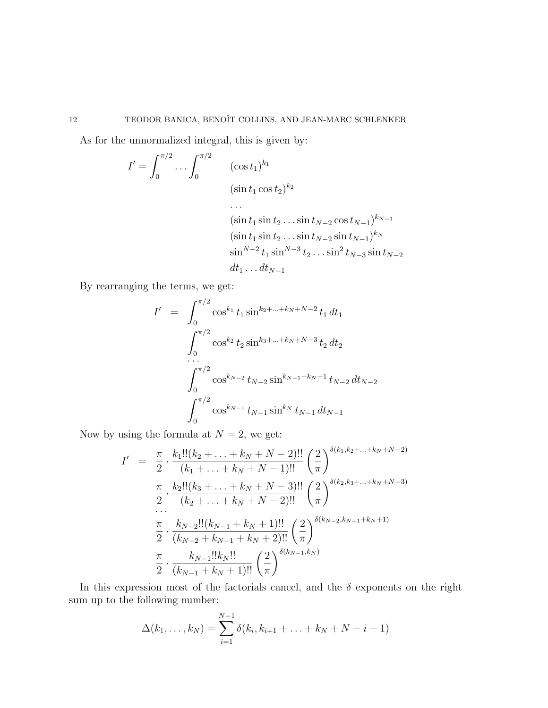As for the unnormalized integral, this is given by:

$$
I' = \int_0^{\pi/2} \dots \int_0^{\pi/2} \qquad (\cos t_1)^{k_1}
$$
  
\n
$$
(\sin t_1 \cos t_2)^{k_2}
$$
  
\n
$$
\dots
$$
  
\n
$$
(\sin t_1 \sin t_2 \dots \sin t_{N-2} \cos t_{N-1})^{k_{N-1}}
$$
  
\n
$$
(\sin t_1 \sin t_2 \dots \sin t_{N-2} \sin t_{N-1})^{k_N}
$$
  
\n
$$
\sin^{N-2} t_1 \sin^{N-3} t_2 \dots \sin^2 t_{N-3} \sin t_{N-2}
$$
  
\n
$$
dt_1 \dots dt_{N-1}
$$

By rearranging the terms, we get:

$$
I' = \int_0^{\pi/2} \cos^{k_1} t_1 \sin^{k_2 + \dots + k_N + N - 2} t_1 dt_1
$$
  

$$
\int_0^{\pi/2} \cos^{k_2} t_2 \sin^{k_3 + \dots + k_N + N - 3} t_2 dt_2
$$
  

$$
\int_0^{\pi/2} \cos^{k_{N-2}} t_{N-2} \sin^{k_{N-1} + k_N + 1} t_{N-2} dt_{N-2}
$$
  

$$
\int_0^{\pi/2} \cos^{k_{N-1}} t_{N-1} \sin^{k_N} t_{N-1} dt_{N-1}
$$

Now by using the formula at  $N = 2$ , we get:

$$
I' = \frac{\pi}{2} \cdot \frac{k_1!!(k_2 + \ldots + k_N + N - 2)!!}{(k_1 + \ldots + k_N + N - 1)!!} \left(\frac{2}{\pi}\right)^{\delta(k_1, k_2 + \ldots + k_N + N - 2)}
$$

$$
\frac{\pi}{2} \cdot \frac{k_2!!(k_3 + \ldots + k_N + N - 3)!!}{(k_2 + \ldots + k_N + N - 2)!!} \left(\frac{2}{\pi}\right)^{\delta(k_2, k_3 + \ldots + k_N + N - 3)}
$$

$$
\frac{\pi}{2} \cdot \frac{k_{N-2}!!(k_{N-1} + k_N + 1)!!}{(k_{N-2} + k_{N-1} + k_N + 2)!!} \left(\frac{2}{\pi}\right)^{\delta(k_{N-2}, k_{N-1} + k_N + 1)}
$$

$$
\frac{\pi}{2} \cdot \frac{k_{N-1}!!k_N!!}{(k_{N-1} + k_N + 1)!!} \left(\frac{2}{\pi}\right)^{\delta(k_{N-1}, k_N)}
$$

In this expression most of the factorials cancel, and the  $\delta$  exponents on the right sum up to the following number:

$$
\Delta(k_1,\ldots,k_N) = \sum_{i=1}^{N-1} \delta(k_i,k_{i+1}+\ldots+k_N+N-i-1)
$$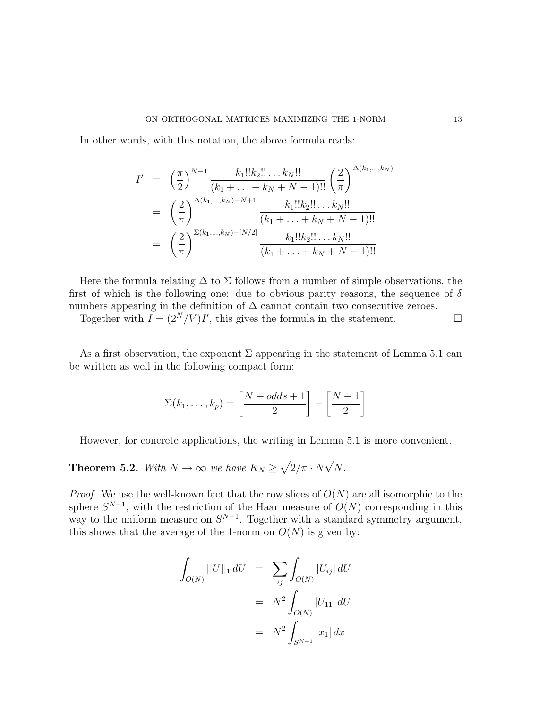In other words, with this notation, the above formula reads:

$$
I' = \left(\frac{\pi}{2}\right)^{N-1} \frac{k_1!!k_2!! \dots k_N!!}{(k_1 + \dots + k_N + N - 1)!!} \left(\frac{2}{\pi}\right)^{\Delta(k_1, \dots, k_N)}
$$
  

$$
= \left(\frac{2}{\pi}\right)^{\Delta(k_1, \dots, k_N) - N + 1} \frac{k_1!!k_2!! \dots k_N!!}{(k_1 + \dots + k_N + N - 1)!!}
$$
  

$$
= \left(\frac{2}{\pi}\right)^{\Sigma(k_1, \dots, k_N) - [N/2]} \frac{k_1!!k_2!! \dots k_N!!}{(k_1 + \dots + k_N + N - 1)!!}
$$

Here the formula relating  $\Delta$  to  $\Sigma$  follows from a number of simple observations, the first of which is the following one: due to obvious parity reasons, the sequence of  $\delta$ numbers appearing in the definition of  $\Delta$  cannot contain two consecutive zeroes.

Together with  $I = (2^N/V)I'$ , this gives the formula in the statement.

As a first observation, the exponent  $\Sigma$  appearing in the statement of Lemma 5.1 can be written as well in the following compact form:

$$
\Sigma(k_1,\ldots,k_p) = \left[\frac{N+odds+1}{2}\right] - \left[\frac{N+1}{2}\right]
$$

However, for concrete applications, the writing in Lemma 5.1 is more convenient.

**Theorem 5.2.** With  $N \to \infty$  we have  $K_N \geq \sqrt{2/\pi} \cdot N$ √ N.

*Proof.* We use the well-known fact that the row slices of  $O(N)$  are all isomorphic to the sphere  $S^{N-1}$ , with the restriction of the Haar measure of  $O(N)$  corresponding in this way to the uniform measure on  $S^{N-1}$ . Together with a standard symmetry argument, this shows that the average of the 1-norm on  $O(N)$  is given by:

$$
\int_{O(N)} ||U||_1 dU = \sum_{ij} \int_{O(N)} |U_{ij}| dU
$$

$$
= N^2 \int_{O(N)} |U_{11}| dU
$$

$$
= N^2 \int_{S^{N-1}} |x_1| dx
$$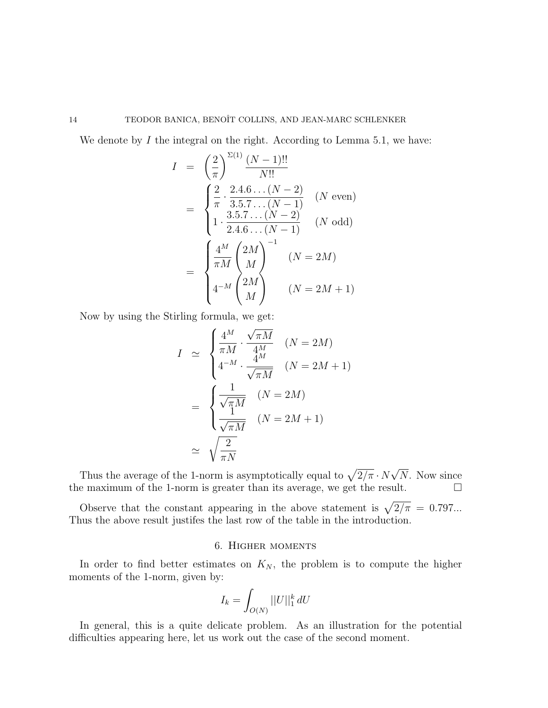We denote by  $I$  the integral on the right. According to Lemma 5.1, we have:

$$
I = \left(\frac{2}{\pi}\right)^{\Sigma(1)} \frac{(N-1)!!}{N!!}
$$
  
= 
$$
\begin{cases} \frac{2}{\pi} \cdot \frac{2.4.6 \dots (N-2)}{3.5.7 \dots (N-1)} & (N \text{ even}) \\ 1 \cdot \frac{3.5.7 \dots (N-2)}{2.4.6 \dots (N-1)} & (N \text{ odd}) \end{cases}
$$
  
= 
$$
\begin{cases} \frac{4^M}{\pi M} \begin{pmatrix} 2M \\ M \end{pmatrix}^{-1} & (N = 2M) \\ 4^{-M} \begin{pmatrix} 2M \\ M \end{pmatrix} & (N = 2M + 1) \end{cases}
$$

Now by using the Stirling formula, we get:

$$
I \simeq \begin{cases} \frac{4^M}{\pi M} \cdot \frac{\sqrt{\pi M}}{4^M} & (N = 2M) \\ 4^{-M} \cdot \frac{4^M}{\sqrt{\pi M}} & (N = 2M + 1) \\ \frac{1}{\sqrt{\pi M}} & (N = 2M) \\ \frac{1}{\sqrt{\pi M}} & (N = 2M + 1) \\ \simeq \sqrt{\frac{2}{\pi N}} \end{cases}
$$

Thus the average of the 1-norm is asymptotically equal to  $\sqrt{2/\pi} \cdot N$ √ N. Now since the maximum of the 1-norm is greater than its average, we get the result.  $\hfill \Box$ 

Observe that the constant appearing in the above statement is  $\sqrt{2/\pi} = 0.797...$ Thus the above result justifes the last row of the table in the introduction.

## 6. Higher moments

In order to find better estimates on  $K_N$ , the problem is to compute the higher moments of the 1-norm, given by:

$$
I_k = \int_{O(N)} ||U||_1^k dU
$$

In general, this is a quite delicate problem. As an illustration for the potential difficulties appearing here, let us work out the case of the second moment.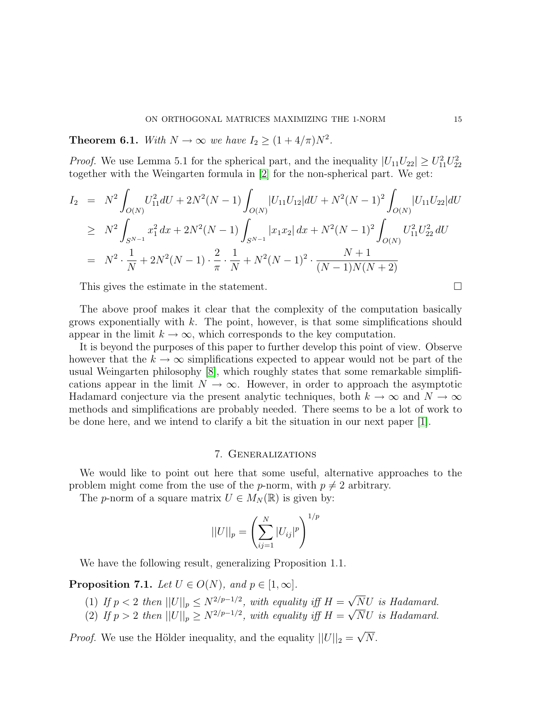**Theorem 6.1.** With  $N \to \infty$  we have  $I_2 \geq (1 + 4/\pi)N^2$ .

*Proof.* We use Lemma 5.1 for the spherical part, and the inequality  $|U_{11}U_{22}| \ge U_{11}^2U_{22}^2$ together with the Weingarten formula in [\[2\]](#page-16-6) for the non-spherical part. We get:

$$
I_2 = N^2 \int_{O(N)} U_{11}^2 dU + 2N^2 (N - 1) \int_{O(N)} |U_{11} U_{12}| dU + N^2 (N - 1)^2 \int_{O(N)} |U_{11} U_{22}| dU
$$
  
\n
$$
\geq N^2 \int_{S^{N-1}} x_1^2 dx + 2N^2 (N - 1) \int_{S^{N-1}} |x_1 x_2| dx + N^2 (N - 1)^2 \int_{O(N)} U_{11}^2 U_{22}^2 dU
$$
  
\n
$$
= N^2 \cdot \frac{1}{N} + 2N^2 (N - 1) \cdot \frac{2}{\pi} \cdot \frac{1}{N} + N^2 (N - 1)^2 \cdot \frac{N + 1}{(N - 1)N(N + 2)}
$$

This gives the estimate in the statement.

The above proof makes it clear that the complexity of the computation basically grows exponentially with  $k$ . The point, however, is that some simplifications should appear in the limit  $k \to \infty$ , which corresponds to the key computation.

It is beyond the purposes of this paper to further develop this point of view. Observe however that the  $k \to \infty$  simplifications expected to appear would not be part of the usual Weingarten philosophy [\[8\]](#page-16-7), which roughly states that some remarkable simplifications appear in the limit  $N \to \infty$ . However, in order to approach the asymptotic Hadamard conjecture via the present analytic techniques, both  $k \to \infty$  and  $N \to \infty$ methods and simplifications are probably needed. There seems to be a lot of work to be done here, and we intend to clarify a bit the situation in our next paper [\[1\]](#page-16-4).

## 7. Generalizations

We would like to point out here that some useful, alternative approaches to the problem might come from the use of the *p*-norm, with  $p \neq 2$  arbitrary.

The p-norm of a square matrix  $U \in M_N(\mathbb{R})$  is given by:

$$
||U||_p = \left(\sum_{ij=1}^N |U_{ij}|^p\right)^{1/p}
$$

We have the following result, generalizing Proposition 1.1.

**Proposition 7.1.** Let  $U \in O(N)$ , and  $p \in [1, \infty]$ .

- (1) If  $p < 2$  then  $||U||_p \leq N^{2/p-1/2}$ , with equality iff  $H =$ √ NU is Hadamard.  $\mathsf{v}_{\scriptscriptstyle j}$
- (2) If  $p > 2$  then  $||U||_p \ge N^{2/p-1/2}$ , with equality iff  $H =$ NU is Hadamard.

*Proof.* We use the Hölder inequality, and the equality  $||U||_2 =$ √ N.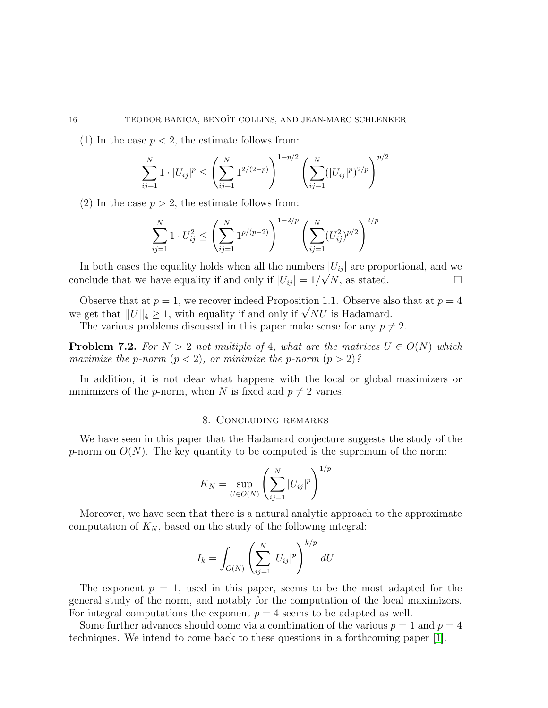(1) In the case  $p < 2$ , the estimate follows from:

$$
\sum_{ij=1}^{N} 1 \cdot |U_{ij}|^p \le \left(\sum_{ij=1}^{N} 1^{2/(2-p)}\right)^{1-p/2} \left(\sum_{ij=1}^{N} (|U_{ij}|^p)^{2/p}\right)^{p/2}
$$

(2) In the case  $p > 2$ , the estimate follows from:

$$
\sum_{ij=1}^{N} 1 \cdot U_{ij}^2 \le \left(\sum_{ij=1}^{N} 1^{p/(p-2)}\right)^{1-2/p} \left(\sum_{ij=1}^{N} (U_{ij}^2)^{p/2}\right)^{2/p}
$$

In both cases the equality holds when all the numbers  $|U_{ij}|$  are proportional, and we conclude that we have equality if and only if  $|U_{ij}| = 1/\sqrt{N}$ , as stated.

Observe that at  $p = 1$ , we recover indeed Proposition 1.1. Observe also that at  $p = 4$ Observe that at  $p = 1$ , we recover indeed Proposition 1.1. Observe als<br>we get that  $||U||_4 \ge 1$ , with equality if and only if  $\sqrt{N}U$  is Hadamard.

The various problems discussed in this paper make sense for any  $p \neq 2$ .

**Problem 7.2.** For  $N > 2$  not multiple of 4, what are the matrices  $U \in O(N)$  which maximize the p-norm  $(p < 2)$ , or minimize the p-norm  $(p > 2)$ ?

In addition, it is not clear what happens with the local or global maximizers or minimizers of the *p*-norm, when N is fixed and  $p \neq 2$  varies.

## 8. Concluding remarks

We have seen in this paper that the Hadamard conjecture suggests the study of the p-norm on  $O(N)$ . The key quantity to be computed is the supremum of the norm:

$$
K_N = \sup_{U \in O(N)} \left( \sum_{ij=1}^{N} |U_{ij}|^p \right)^{1/p}
$$

Moreover, we have seen that there is a natural analytic approach to the approximate computation of  $K_N$ , based on the study of the following integral:

$$
I_k = \int_{O(N)} \left(\sum_{ij=1}^N |U_{ij}|^p\right)^{k/p} dU
$$

The exponent  $p = 1$ , used in this paper, seems to be the most adapted for the general study of the norm, and notably for the computation of the local maximizers. For integral computations the exponent  $p = 4$  seems to be adapted as well.

Some further advances should come via a combination of the various  $p = 1$  and  $p = 4$ techniques. We intend to come back to these questions in a forthcoming paper [\[1\]](#page-16-4).